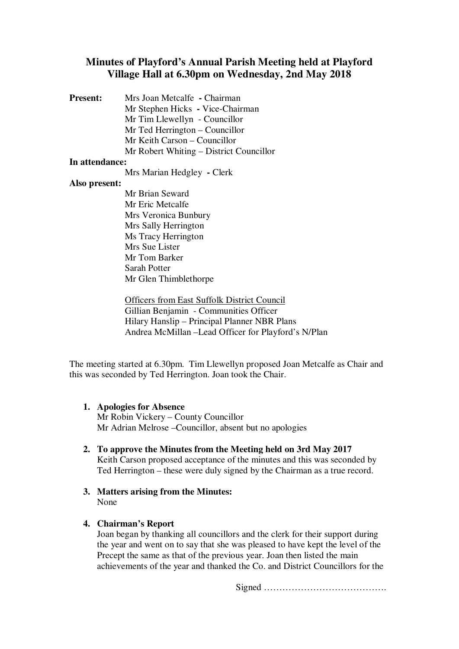# **Minutes of Playford's Annual Parish Meeting held at Playford Village Hall at 6.30pm on Wednesday, 2nd May 2018**

**Present:** Mrs Joan Metcalfe **-** Chairman Mr Stephen Hicks **-** Vice-Chairman Mr Tim Llewellyn - Councillor Mr Ted Herrington – Councillor Mr Keith Carson – Councillor Mr Robert Whiting – District Councillor

## **In attendance:**

Mrs Marian Hedgley **-** Clerk

## **Also present:**

Mr Brian Seward Mr Eric Metcalfe Mrs Veronica Bunbury Mrs Sally Herrington Ms Tracy Herrington Mrs Sue Lister Mr Tom Barker Sarah Potter Mr Glen Thimblethorpe

Officers from East Suffolk District Council Gillian Benjamin - Communities Officer Hilary Hanslip – Principal Planner NBR Plans Andrea McMillan –Lead Officer for Playford's N/Plan

The meeting started at 6.30pm. Tim Llewellyn proposed Joan Metcalfe as Chair and this was seconded by Ted Herrington. Joan took the Chair.

#### **1. Apologies for Absence**

Mr Robin Vickery – County Councillor Mr Adrian Melrose –Councillor, absent but no apologies

- **2. To approve the Minutes from the Meeting held on 3rd May 2017** Keith Carson proposed acceptance of the minutes and this was seconded by Ted Herrington – these were duly signed by the Chairman as a true record.
- **3. Matters arising from the Minutes:**  None

#### **4. Chairman's Report**

Joan began by thanking all councillors and the clerk for their support during the year and went on to say that she was pleased to have kept the level of the Precept the same as that of the previous year. Joan then listed the main achievements of the year and thanked the Co. and District Councillors for the

Signed ………………………………….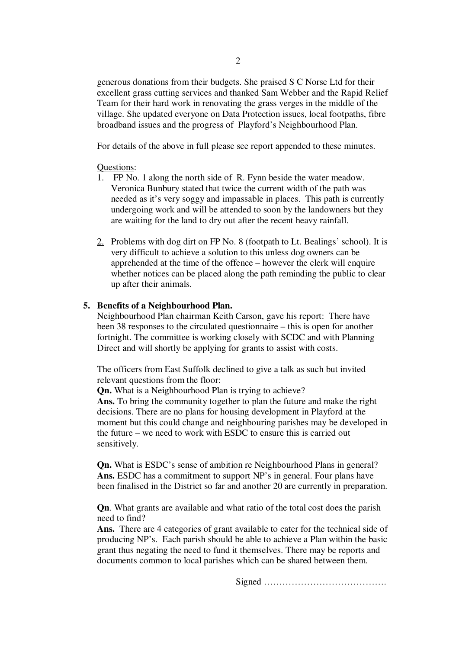generous donations from their budgets. She praised S C Norse Ltd for their excellent grass cutting services and thanked Sam Webber and the Rapid Relief Team for their hard work in renovating the grass verges in the middle of the village. She updated everyone on Data Protection issues, local footpaths, fibre broadband issues and the progress of Playford's Neighbourhood Plan.

For details of the above in full please see report appended to these minutes.

## Questions:

- 1. FP No. 1 along the north side of R. Fynn beside the water meadow. Veronica Bunbury stated that twice the current width of the path was needed as it's very soggy and impassable in places. This path is currently undergoing work and will be attended to soon by the landowners but they are waiting for the land to dry out after the recent heavy rainfall.
- 2. Problems with dog dirt on FP No. 8 (footpath to Lt. Bealings' school). It is very difficult to achieve a solution to this unless dog owners can be apprehended at the time of the offence – however the clerk will enquire whether notices can be placed along the path reminding the public to clear up after their animals.

## **5. Benefits of a Neighbourhood Plan.**

Neighbourhood Plan chairman Keith Carson, gave his report: There have been 38 responses to the circulated questionnaire – this is open for another fortnight. The committee is working closely with SCDC and with Planning Direct and will shortly be applying for grants to assist with costs.

The officers from East Suffolk declined to give a talk as such but invited relevant questions from the floor:

**Qn.** What is a Neighbourhood Plan is trying to achieve?

**Ans.** To bring the community together to plan the future and make the right decisions. There are no plans for housing development in Playford at the moment but this could change and neighbouring parishes may be developed in the future – we need to work with ESDC to ensure this is carried out sensitively.

**Qn.** What is ESDC's sense of ambition re Neighbourhood Plans in general? **Ans.** ESDC has a commitment to support NP's in general. Four plans have been finalised in the District so far and another 20 are currently in preparation.

**Qn**. What grants are available and what ratio of the total cost does the parish need to find?

**Ans.** There are 4 categories of grant available to cater for the technical side of producing NP's. Each parish should be able to achieve a Plan within the basic grant thus negating the need to fund it themselves. There may be reports and documents common to local parishes which can be shared between them.

Signed ………………………………….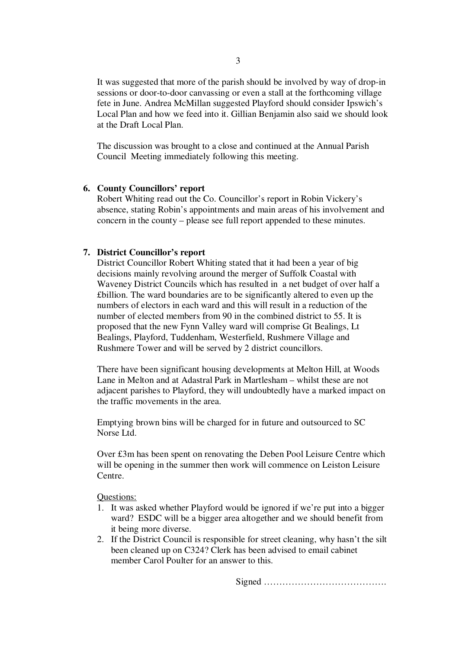It was suggested that more of the parish should be involved by way of drop-in sessions or door-to-door canvassing or even a stall at the forthcoming village fete in June. Andrea McMillan suggested Playford should consider Ipswich's Local Plan and how we feed into it. Gillian Benjamin also said we should look at the Draft Local Plan.

The discussion was brought to a close and continued at the Annual Parish Council Meeting immediately following this meeting.

#### **6. County Councillors' report**

Robert Whiting read out the Co. Councillor's report in Robin Vickery's absence, stating Robin's appointments and main areas of his involvement and concern in the county – please see full report appended to these minutes.

#### **7. District Councillor's report**

District Councillor Robert Whiting stated that it had been a year of big decisions mainly revolving around the merger of Suffolk Coastal with Waveney District Councils which has resulted in a net budget of over half a £billion. The ward boundaries are to be significantly altered to even up the numbers of electors in each ward and this will result in a reduction of the number of elected members from 90 in the combined district to 55. It is proposed that the new Fynn Valley ward will comprise Gt Bealings, Lt Bealings, Playford, Tuddenham, Westerfield, Rushmere Village and Rushmere Tower and will be served by 2 district councillors.

There have been significant housing developments at Melton Hill, at Woods Lane in Melton and at Adastral Park in Martlesham – whilst these are not adjacent parishes to Playford, they will undoubtedly have a marked impact on the traffic movements in the area.

Emptying brown bins will be charged for in future and outsourced to SC Norse Ltd.

Over £3m has been spent on renovating the Deben Pool Leisure Centre which will be opening in the summer then work will commence on Leiston Leisure Centre.

Questions:

- 1. It was asked whether Playford would be ignored if we're put into a bigger ward? ESDC will be a bigger area altogether and we should benefit from it being more diverse.
- 2. If the District Council is responsible for street cleaning, why hasn't the silt been cleaned up on C324? Clerk has been advised to email cabinet member Carol Poulter for an answer to this.

Signed ………………………………….